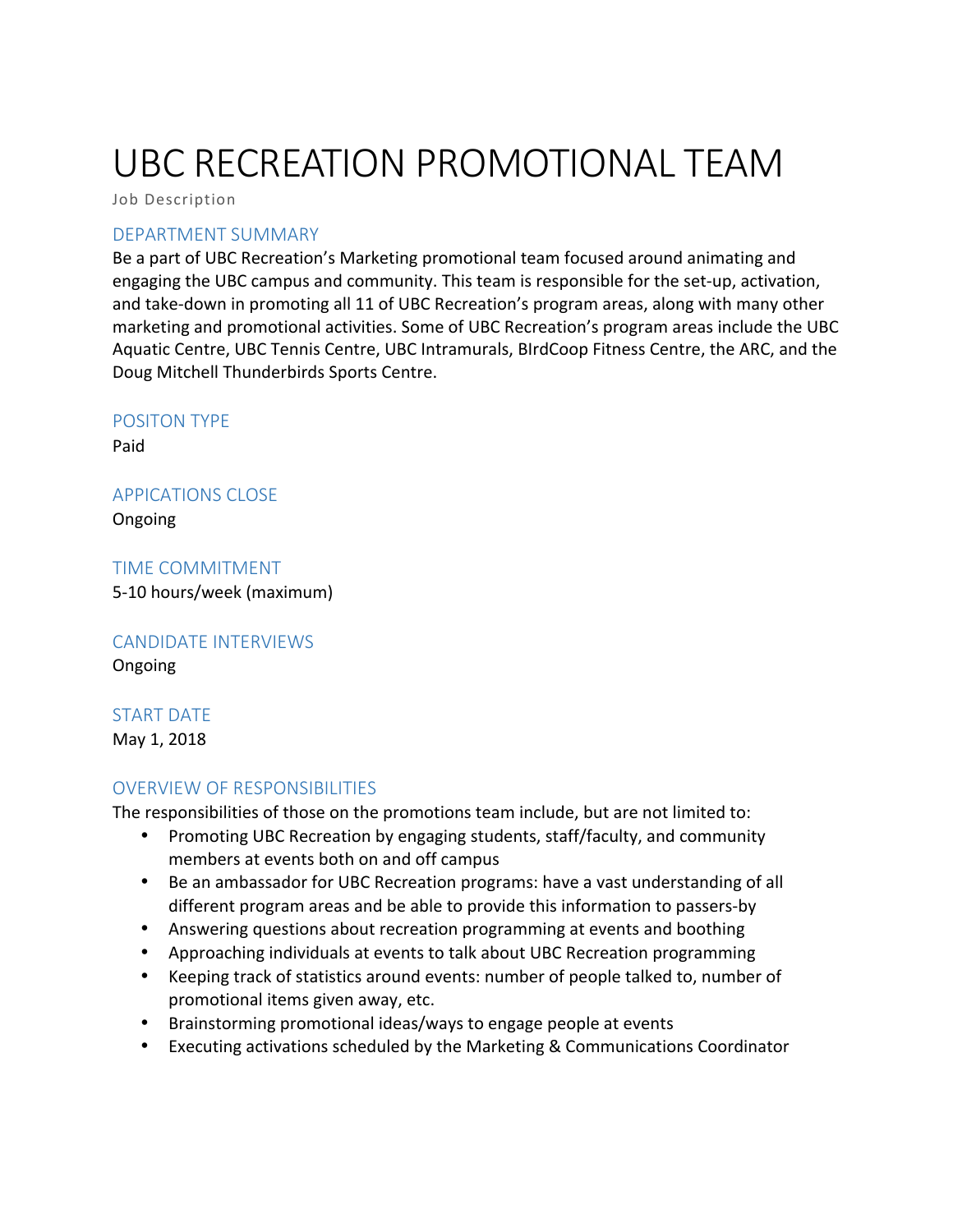# UBC RECREATION PROMOTIONAL TEAM

Job Description

#### DEPARTMENT SUMMARY

Be a part of UBC Recreation's Marketing promotional team focused around animating and engaging the UBC campus and community. This team is responsible for the set-up, activation, and take-down in promoting all 11 of UBC Recreation's program areas, along with many other marketing and promotional activities. Some of UBC Recreation's program areas include the UBC Aquatic Centre, UBC Tennis Centre, UBC Intramurals, BIrdCoop Fitness Centre, the ARC, and the Doug Mitchell Thunderbirds Sports Centre.

#### POSITON TYPE

Paid 

#### APPICATIONS CLOSE

Ongoing

TIME COMMITMENT 5-10 hours/week (maximum)

# **CANDIDATE INTERVIEWS**

Ongoing

## START DATE

May 1, 2018

## OVERVIEW OF RESPONSIBILITIES

The responsibilities of those on the promotions team include, but are not limited to:

- Promoting UBC Recreation by engaging students, staff/faculty, and community members at events both on and off campus
- Be an ambassador for UBC Recreation programs: have a vast understanding of all different program areas and be able to provide this information to passers-by
- Answering questions about recreation programming at events and boothing
- Approaching individuals at events to talk about UBC Recreation programming
- Keeping track of statistics around events: number of people talked to, number of promotional items given away, etc.
- Brainstorming promotional ideas/ways to engage people at events
- Executing activations scheduled by the Marketing & Communications Coordinator